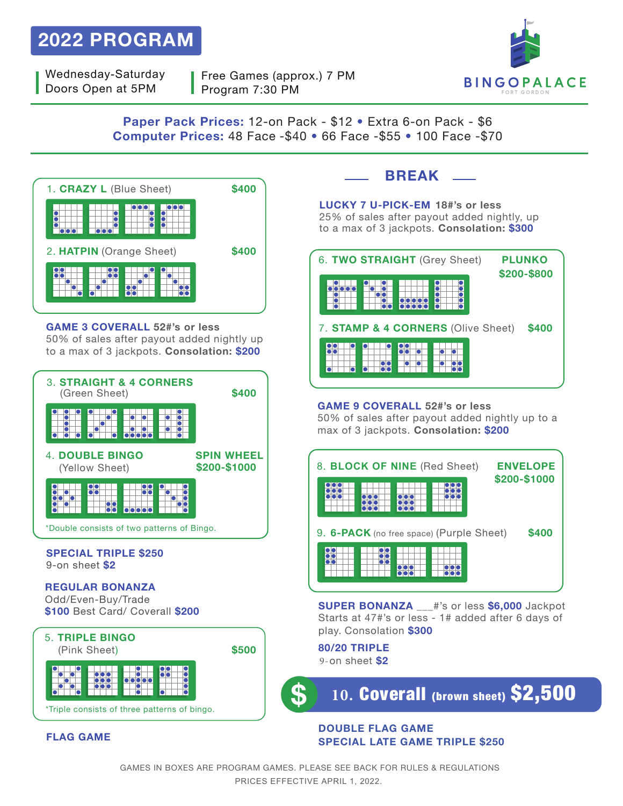# **2022 PROGRAM**

Wednesday-Saturday Doors Open at 5PM

Free Games (approx.) 7 PM Program 7:30 PM



**Paper Pack Prices:** 12-on Pack - \$12 � Extra 6-on Pack - \$6 **Computer Prices:** 48 Face -\$40 � 66 Face -\$55 � 100 Face -\$70



**GAME 3 COVERALL 52#'s or less** 50% of sales after payout added nightly up to a max of 3 jackpots. **Consolation: \$200**



## **BREAK**

**LUCKY 7 U-PICK-EM 18#'s or less** 25% of sales after payout added nightly, up to a max of 3 jackpots. **Consolation: \$300**



**GAME 9 COVERALL 52#'s or less** 50% of sales after payout added nightly up to a max of 3 jackpots. **Consolation: \$200**



**SUPER BONANZA** \_\_\_#'s or less **\$6,000** Jackpot Starts at 47#'s or less - 1# added after 6 days of play. Consolation **\$300**

**80/20 TRIPLE** 9-on sheet **\$2**

**10.** Coverall (brown sheet) \$2,500

#### **DOUBLE FLAG GAME SPECIAL LATE GAME TRIPLE \$250**

### **FLAG GAME**

\*Triple consists of three patterns of bingo.

GAMES IN BOXES ARE PROGRAM GAMES. PLEASE SEE BACK FOR RULES & REGULATIONS PRICES EFFECTIVE APRIL 1, 2022.